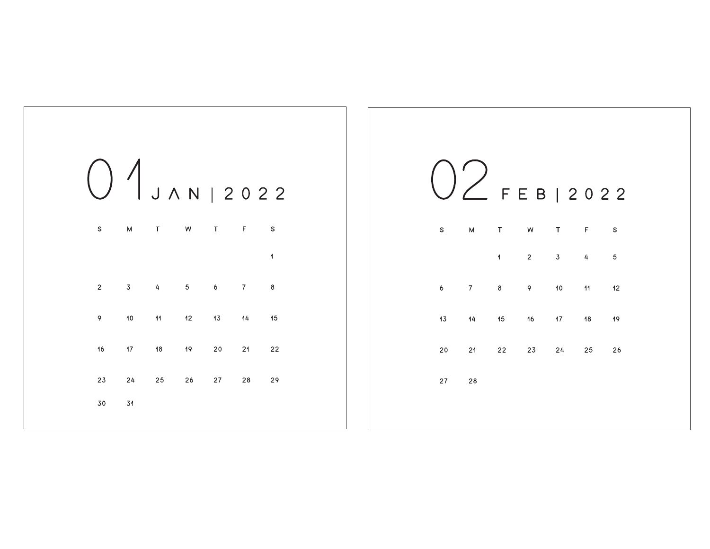|                |    | 01 J A N   2022         |            |                  |                |    |
|----------------|----|-------------------------|------------|------------------|----------------|----|
| $\mathbb S$    | M  | $\top$                  | W          | $\top$           | F              | S  |
|                |    |                         |            |                  |                | 1  |
| $\overline{c}$ | 3  | $\overline{\mathbf{4}}$ | $\sqrt{5}$ | $\boldsymbol{6}$ | $\overline{7}$ | 8  |
| 9              | 10 | $\overline{11}$         | 12         | 13               | 14             | 15 |
| 16             | 17 | 18                      | 19         | 20               | 21             | 22 |
| 23             | 24 | 25                      | 26         | 27               | 28             | 29 |
| 30             | 31 |                         |            |                  |                |    |

|    |    |                | F E B   2 0 2 2 |                 |                 |    |  |
|----|----|----------------|-----------------|-----------------|-----------------|----|--|
| S  | M  | $\top$         | ${\sf W}$       | $\top$          | F               | S  |  |
|    |    | $\overline{1}$ | $\overline{2}$  | $\overline{3}$  | 4               | 5  |  |
| 6  | 7  | 8              | 9               | 10 <sub>1</sub> | $\overline{11}$ | 12 |  |
| 13 | 14 | 15             | 16              | 17 <sub>1</sub> | 18              | 19 |  |
| 20 | 21 | $22 -$         | 23              | 24              | 25              | 26 |  |
| 27 | 28 |                |                 |                 |                 |    |  |
|    |    |                |                 |                 |                 |    |  |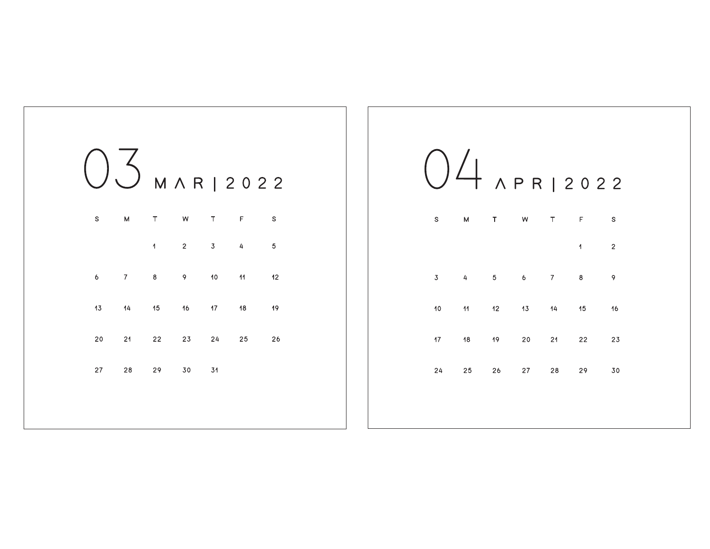|             |                         |                |                |             | M A R   2022    |             |
|-------------|-------------------------|----------------|----------------|-------------|-----------------|-------------|
| $\mathbb S$ | M                       | $\top$         | W              | $\mathsf T$ | F               | $\mathbb S$ |
|             |                         | $\overline{1}$ | $\overline{c}$ | $\mathbf 3$ | 4               | 5           |
| 6           | $\overline{\mathbf{7}}$ | 8              | 9              | 10          | $\overline{11}$ | 12          |
| 13          | 14                      | 15             | 16             | 17          | 18              | 19          |
| 20          | 21                      | 22             | 23             | 24          | 25              | 26          |
| 27          | ${\bf 28}$              | 29             | 30             | 31          |                 |             |
|             |                         |                |                |             |                 |             |
|             |                         |                |                |             |                 |             |

|                 |                 |       |                 |                  | $\frac{1}{1}$ $\sqrt{P}R12022$ |             |
|-----------------|-----------------|-------|-----------------|------------------|--------------------------------|-------------|
| $\mathbb S$     | $\mathsf{M}$    | T     | ${\sf W}$       | $\top$           | $\mathsf F$                    | $\mathbb S$ |
|                 |                 |       |                 |                  | 1                              | $\mathbf 2$ |
| 3               | 4               | $5 -$ | $6\overline{6}$ | $\boldsymbol{7}$ | 8                              | 9           |
| 10 <sub>o</sub> | $\overline{11}$ | 12    | 13              | 14               | 15                             | 16          |
| 17 <sub>2</sub> | 18              | 19    | 20              | 21               | 22                             | 23          |
| 24              | 25              | 26    | 27              | 28               | 29                             | 30          |
|                 |                 |       |                 |                  |                                |             |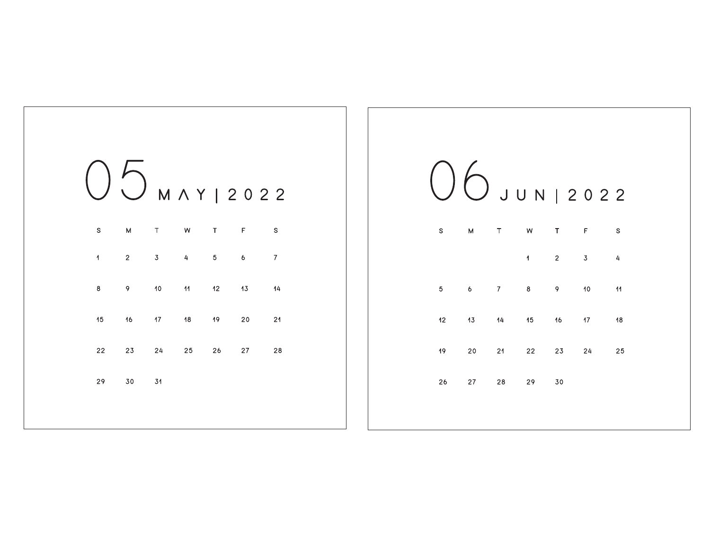

| $\mathbb S$ | M              | $\top$           | W                       | T           | F  | S  |
|-------------|----------------|------------------|-------------------------|-------------|----|----|
|             |                |                  | $\overline{\mathbf{1}}$ | $\mathbf 2$ | 3  | 4  |
| 5           | 6 <sup>1</sup> | $\boldsymbol{7}$ | 8                       | 9           | 10 | 11 |
| 12          | 13             | 14               | 15                      | 16          | 17 | 18 |
| 19          | 20             | 21               | 22                      | 23          | 24 | 25 |
| 26          | 27             | 28               | 29                      | 30          |    |    |
|             |                |                  |                         |             |    |    |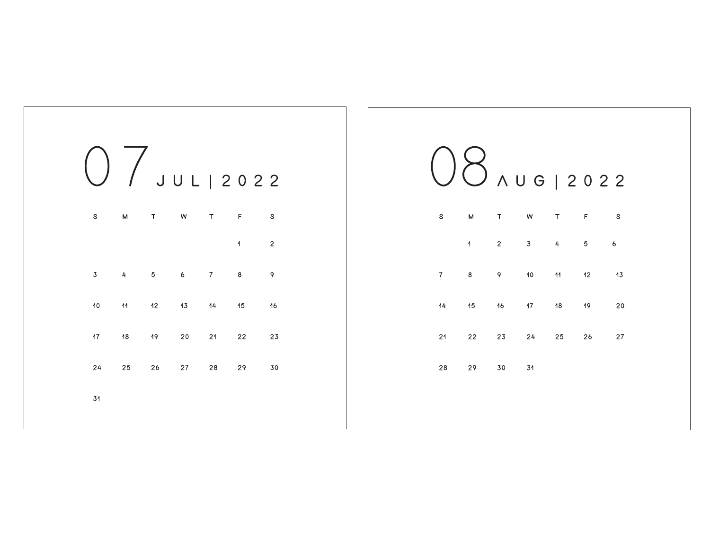|                   |                |        |            |         | / JUL   2022            |             |
|-------------------|----------------|--------|------------|---------|-------------------------|-------------|
| $\mathbb S$       | M              | $\top$ | W          | $\top$  | F                       | $\mathbb S$ |
|                   |                |        |            |         | $\overline{\mathbf{A}}$ | $\mathbf 2$ |
| 3 <sup>7</sup>    | $\overline{4}$ | $5 -$  | $6 -$      | $\bf 7$ | 8                       | 9           |
| 10                | 11             | 12     | 13         | 14      | 15                      | 16          |
| $17 \overline{ }$ | 18             | 19     | ${\bf 20}$ | 21      | 22                      | 23          |
| 24                | 25             | 26     | $27\,$     | 28      | 29                      | $30\,$      |
| 31                |                |        |            |         |                         |             |
|                   |                |        |            |         |                         |             |

|                |                | AUG   2022              |                 |                 |         |    |
|----------------|----------------|-------------------------|-----------------|-----------------|---------|----|
| $\mathbb S$    | M              | T                       | W               | T               | F       | S  |
|                | $\overline{1}$ | $\overline{\mathbf{2}}$ | 3 <sub>1</sub>  | 4               | $\bf 5$ | 6  |
| $\overline{7}$ | $\bf{8}$       | 9                       | 10 <sub>1</sub> | $\overline{11}$ | 12      | 13 |
| 14             | 15             | 16                      | 17 <sub>1</sub> | 18              | 19      | 20 |
| 21             | 22             | 23                      | 24              | 25              | 26      | 27 |
| 28             | 29             | $30\,$                  | 31              |                 |         |    |
|                |                |                         |                 |                 |         |    |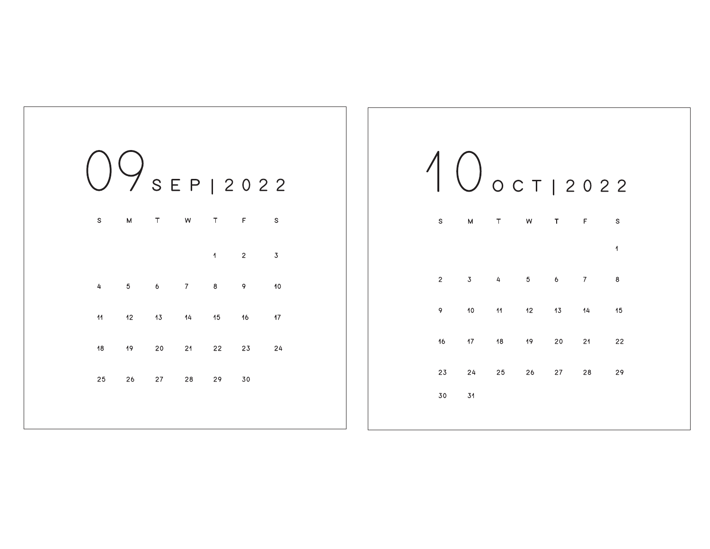

|                |                 |                 |                                  |        | $\bigcup$ OCTI2022       |    |
|----------------|-----------------|-----------------|----------------------------------|--------|--------------------------|----|
| $\mathbb S$    | M               | $\mathsf T$     | W                                | $\top$ | F                        | S  |
|                |                 |                 |                                  |        |                          | 1  |
| $\overline{2}$ | $\overline{3}$  | 4               | $\overline{5}$<br>6 <sub>6</sub> |        | $\overline{\mathcal{I}}$ | 8  |
| 9              | 10              | $\overline{11}$ | 12                               | 13     | 14                       | 15 |
| 16             | 17 <sub>1</sub> | 18              | 19                               | 20     | 21                       | 22 |
| 23             | 24              | 25              | 26                               | $27\,$ | 28                       | 29 |
| 30             | 31              |                 |                                  |        |                          |    |
|                |                 |                 |                                  |        |                          |    |